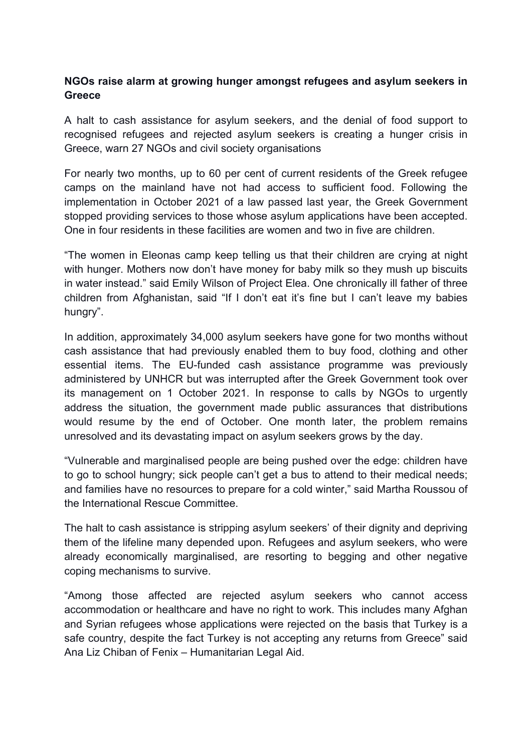## **NGOs raise alarm at growing hunger amongst refugees and asylum seekers in Greece**

A halt to cash assistance for asylum seekers, and the denial of food support to recognised refugees and rejected asylum seekers is creating a hunger crisis in Greece, warn 27 NGOs and civil society organisations

For nearly two months, up to 60 per cent of current residents of the Greek refugee camps on the mainland have not had access to sufficient food. Following the implementation in October 2021 of a law passed last year, the Greek Government stopped providing services to those whose asylum applications have been accepted. One in four residents in these facilities are women and two in five are children.

"The women in Eleonas camp keep telling us that their children are crying at night with hunger. Mothers now don't have money for baby milk so they mush up biscuits in water instead." said Emily Wilson of Project Elea. One chronically ill father of three children from Afghanistan, said "If I don't eat it's fine but I can't leave my babies hungry".

In addition, approximately 34,000 asylum seekers have gone for two months without cash assistance that had previously enabled them to buy food, clothing and other essential items. The EU-funded cash assistance programme was previously administered by UNHCR but was interrupted after the Greek Government took over its management on 1 October 2021. In response to calls by NGOs to urgently address the situation, the government made public assurances that distributions would resume by the end of October. One month later, the problem remains unresolved and its devastating impact on asylum seekers grows by the day.

"Vulnerable and marginalised people are being pushed over the edge: children have to go to school hungry; sick people can't get a bus to attend to their medical needs; and families have no resources to prepare for a cold winter," said Martha Roussou of the International Rescue Committee.

The halt to cash assistance is stripping asylum seekers' of their dignity and depriving them of the lifeline many depended upon. Refugees and asylum seekers, who were already economically marginalised, are resorting to begging and other negative coping mechanisms to survive.

"Among those affected are rejected asylum seekers who cannot access accommodation or healthcare and have no right to work. This includes many Afghan and Syrian refugees whose applications were rejected on the basis that Turkey is a safe country, despite the fact Turkey is not accepting any returns from Greece" said Ana Liz Chiban of Fenix – Humanitarian Legal Aid.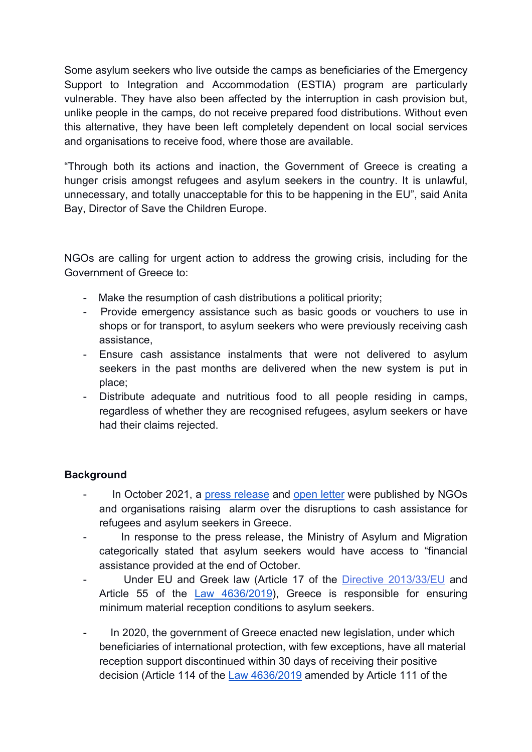Some asylum seekers who live outside the camps as beneficiaries of the Emergency Support to Integration and Accommodation (ESTIA) program are particularly vulnerable. They have also been affected by the interruption in cash provision but, unlike people in the camps, do not receive prepared food distributions. Without even this alternative, they have been left completely dependent on local social services and organisations to receive food, where those are available.

"Through both its actions and inaction, the Government of Greece is creating a hunger crisis amongst refugees and asylum seekers in the country. It is unlawful, unnecessary, and totally unacceptable for this to be happening in the EU", said Anita Bay, Director of Save the Children Europe.

NGOs are calling for urgent action to address the growing crisis, including for the Government of Greece to:

- Make the resumption of cash distributions a political priority;
- Provide emergency assistance such as basic goods or vouchers to use in shops or for transport, to asylum seekers who were previously receiving cash assistance,
- Ensure cash assistance instalments that were not delivered to asylum seekers in the past months are delivered when the new system is put in place;
- Distribute adequate and nutritious food to all people residing in camps, regardless of whether they are recognised refugees, asylum seekers or have had their claims rejected.

## **Background**

- In October 2021, a press release and open letter were published by NGOs and organisations raising alarm over the disruptions to cash assistance for refugees and asylum seekers in Greece.
- In response to the press release, the Ministry of Asylum and Migration categorically stated that asylum seekers would have access to "financial assistance provided at the end of October.
- Under EU and Greek law (Article 17 of the Directive 2013/33/EU and Article 55 of the Law 4636/2019), Greece is responsible for ensuring minimum material reception conditions to asylum seekers.
- In 2020, the government of Greece enacted new legislation, under which beneficiaries of international protection, with few exceptions, have all material reception support discontinued within 30 days of receiving their positive decision (Article 114 of the Law 4636/2019 amended by Article 111 of the